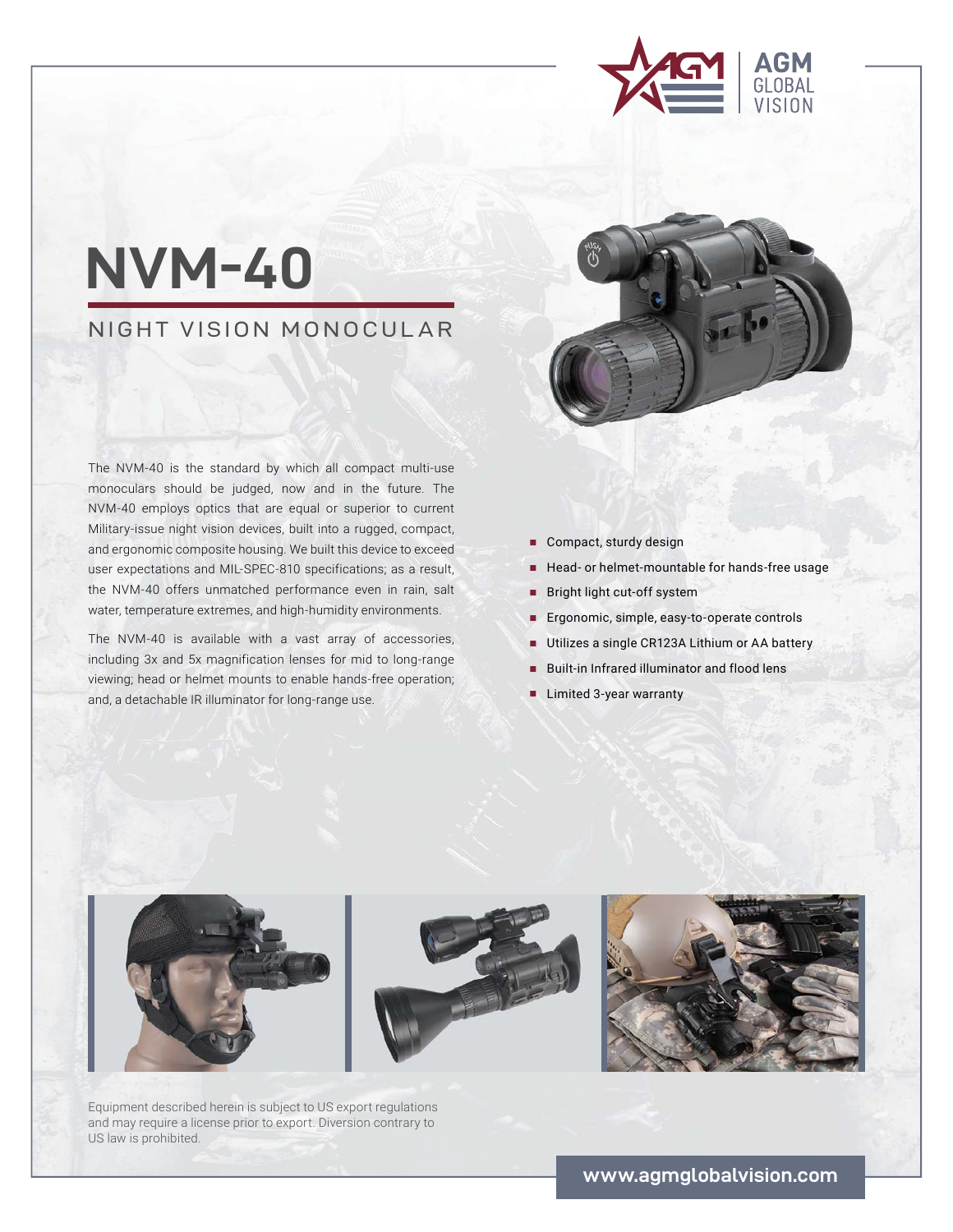



## NIGHT VISION MONOCULAR

The NVM-40 is the standard by which all compact multi-use monoculars should be judged, now and in the future. The NVM-40 employs optics that are equal or superior to current Military-issue night vision devices, built into a rugged, compact, and ergonomic composite housing. We built this device to exceed user expectations and MIL-SPEC-810 specifications; as a result, the NVM-40 offers unmatched performance even in rain, salt water, temperature extremes, and high-humidity environments.

The NVM-40 is available with a vast array of accessories, including 3x and 5x magnification lenses for mid to long-range viewing; head or helmet mounts to enable hands-free operation; and, a detachable IR illuminator for long-range use.

- **■** Compact, sturdy design
- Head- or helmet-mountable for hands-free usage
- Bright light cut-off system
- **■** Ergonomic, simple, easy-to-operate controls
- Utilizes a single CR123A Lithium or AA battery
- **■** Built-in Infrared illuminator and flood lens
- **■** Limited 3-year warranty



Equipment described herein is subject to US export regulations and may require a license prior to export. Diversion contrary to US law is prohibited.

**www.agmglobalvision.com**